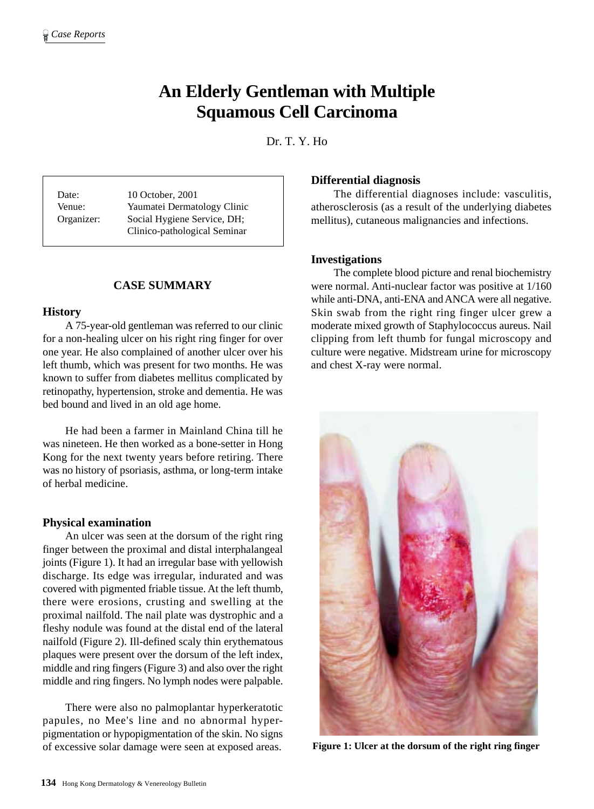# **An Elderly Gentleman with Multiple Squamous Cell Carcinoma**

Dr. T. Y. Ho

Date: 10 October, 2001 Venue: Yaumatei Dermatology Clinic Organizer: Social Hygiene Service, DH; Clinico-pathological Seminar

# **CASE SUMMARY**

## **History**

A 75-year-old gentleman was referred to our clinic for a non-healing ulcer on his right ring finger for over one year. He also complained of another ulcer over his left thumb, which was present for two months. He was known to suffer from diabetes mellitus complicated by retinopathy, hypertension, stroke and dementia. He was bed bound and lived in an old age home.

He had been a farmer in Mainland China till he was nineteen. He then worked as a bone-setter in Hong Kong for the next twenty years before retiring. There was no history of psoriasis, asthma, or long-term intake of herbal medicine.

## **Physical examination**

An ulcer was seen at the dorsum of the right ring finger between the proximal and distal interphalangeal joints (Figure 1). It had an irregular base with yellowish discharge. Its edge was irregular, indurated and was covered with pigmented friable tissue. At the left thumb, there were erosions, crusting and swelling at the proximal nailfold. The nail plate was dystrophic and a fleshy nodule was found at the distal end of the lateral nailfold (Figure 2). Ill-defined scaly thin erythematous plaques were present over the dorsum of the left index, middle and ring fingers (Figure 3) and also over the right middle and ring fingers. No lymph nodes were palpable.

There were also no palmoplantar hyperkeratotic papules, no Mee's line and no abnormal hyperpigmentation or hypopigmentation of the skin. No signs of excessive solar damage were seen at exposed areas.

#### **Differential diagnosis**

The differential diagnoses include: vasculitis, atherosclerosis (as a result of the underlying diabetes mellitus), cutaneous malignancies and infections.

## **Investigations**

The complete blood picture and renal biochemistry were normal. Anti-nuclear factor was positive at 1/160 while anti-DNA, anti-ENA and ANCA were all negative. Skin swab from the right ring finger ulcer grew a moderate mixed growth of Staphylococcus aureus. Nail clipping from left thumb for fungal microscopy and culture were negative. Midstream urine for microscopy and chest X-ray were normal.



**Figure 1: Ulcer at the dorsum of the right ring finger**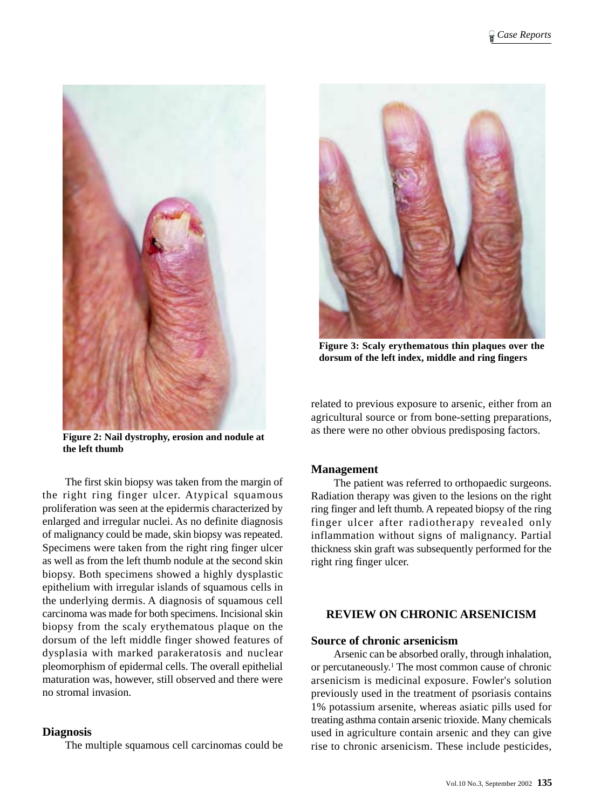

**Figure 2: Nail dystrophy, erosion and nodule at the left thumb**

The first skin biopsy was taken from the margin of the right ring finger ulcer. Atypical squamous proliferation was seen at the epidermis characterized by enlarged and irregular nuclei. As no definite diagnosis of malignancy could be made, skin biopsy was repeated. Specimens were taken from the right ring finger ulcer as well as from the left thumb nodule at the second skin biopsy. Both specimens showed a highly dysplastic epithelium with irregular islands of squamous cells in the underlying dermis. A diagnosis of squamous cell carcinoma was made for both specimens. Incisional skin biopsy from the scaly erythematous plaque on the dorsum of the left middle finger showed features of dysplasia with marked parakeratosis and nuclear pleomorphism of epidermal cells. The overall epithelial maturation was, however, still observed and there were no stromal invasion.

## **Diagnosis**

The multiple squamous cell carcinomas could be



**Figure 3: Scaly erythematous thin plaques over the dorsum of the left index, middle and ring fingers**

related to previous exposure to arsenic, either from an agricultural source or from bone-setting preparations, as there were no other obvious predisposing factors.

# **Management**

The patient was referred to orthopaedic surgeons. Radiation therapy was given to the lesions on the right ring finger and left thumb. A repeated biopsy of the ring finger ulcer after radiotherapy revealed only inflammation without signs of malignancy. Partial thickness skin graft was subsequently performed for the right ring finger ulcer.

# **REVIEW ON CHRONIC ARSENICISM**

## **Source of chronic arsenicism**

Arsenic can be absorbed orally, through inhalation, or percutaneously.<sup>1</sup> The most common cause of chronic arsenicism is medicinal exposure. Fowler's solution previously used in the treatment of psoriasis contains 1% potassium arsenite, whereas asiatic pills used for treating asthma contain arsenic trioxide. Many chemicals used in agriculture contain arsenic and they can give rise to chronic arsenicism. These include pesticides,